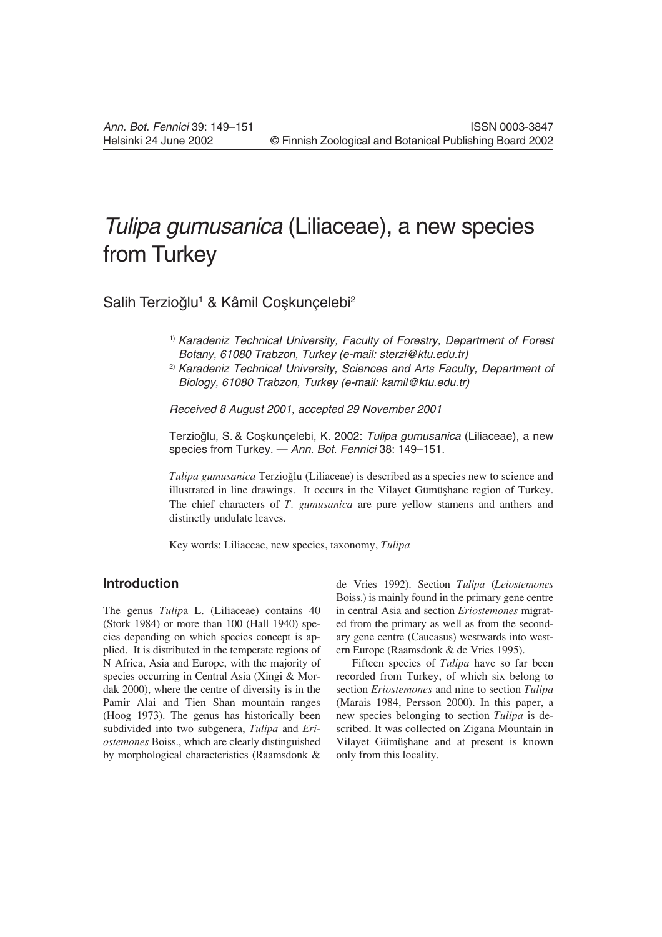# Tulipa gumusanica (Liliaceae), a new species from Turkey

Salih Terzioğlu<sup>1</sup> & Kâmil Coşkunçelebi<sup>2</sup>

- <sup>1)</sup> Karadeniz Technical University, Faculty of Forestry, Department of Forest Botany, 61080 Trabzon, Turkey (e-mail: sterzi@ktu.edu.tr)
- <sup>2)</sup> Karadeniz Technical University, Sciences and Arts Faculty, Department of Biology, 61080 Trabzon, Turkey (e-mail: kamil@ktu.edu.tr)

Received 8 August 2001, accepted 29 November 2001

Terzioğlu, S. & Coskuncelebi, K. 2002: Tulipa gumusanica (Liliaceae), a new species from Turkey. — Ann. Bot. Fennici 38: 149–151.

*Tulipa gumusanica* Terzioâlu (Liliaceae) is described as a species new to science and illustrated in line drawings. It occurs in the Vilayet Gümüşhane region of Turkey. The chief characters of *T. gumusanica* are pure yellow stamens and anthers and distinctly undulate leaves.

Key words: Liliaceae, new species, taxonomy, *Tulipa*

## **Introduction**

The genus *Tulip*a L. (Liliaceae) contains 40 (Stork 1984) or more than 100 (Hall 1940) species depending on which species concept is applied. It is distributed in the temperate regions of N Africa, Asia and Europe, with the majority of species occurring in Central Asia (Xingi & Mordak 2000), where the centre of diversity is in the Pamir Alai and Tien Shan mountain ranges (Hoog 1973). The genus has historically been subdivided into two subgenera, *Tulipa* and *Eriostemones* Boiss., which are clearly distinguished by morphological characteristics (Raamsdonk &

de Vries 1992). Section *Tulipa* (*Leiostemones* Boiss.) is mainly found in the primary gene centre in central Asia and section *Eriostemones* migrated from the primary as well as from the secondary gene centre (Caucasus) westwards into western Europe (Raamsdonk & de Vries 1995).

Fifteen species of *Tulipa* have so far been recorded from Turkey, of which six belong to section *Eriostemones* and nine to section *Tulipa* (Marais 1984, Persson 2000). In this paper, a new species belonging to section *Tulipa* is described. It was collected on Zigana Mountain in Vilayet Gümüşhane and at present is known only from this locality.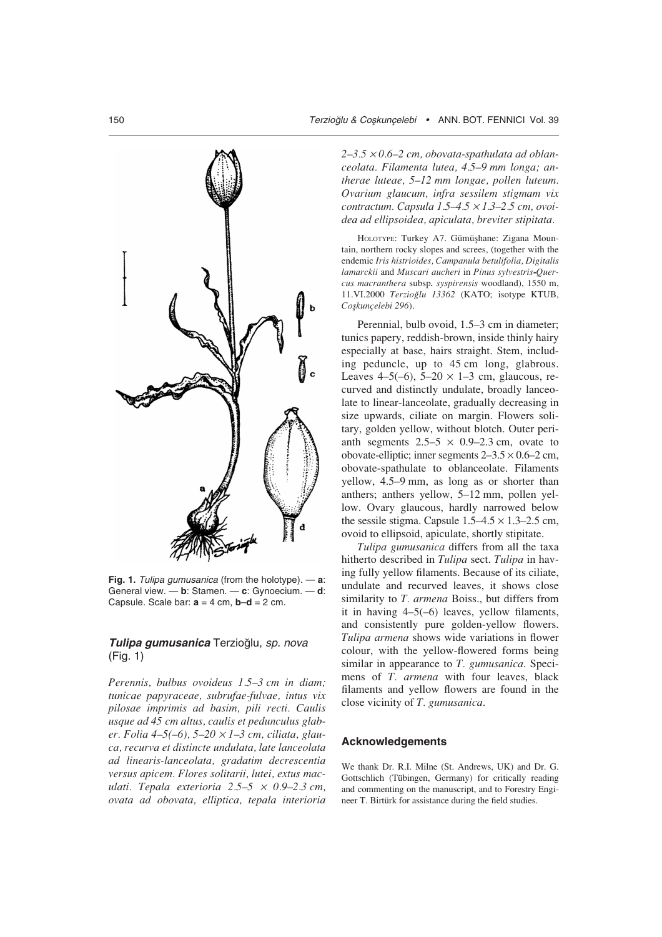$\mathbf b$ 

**Fig. 1.** Tulipa gumusanica (from the holotype). — **a**: General view. — **b**: Stamen. — **c**: Gynoecium. — **d**: Capsule. Scale bar:  $a = 4$  cm,  $b-d = 2$  cm.

### **Tulipa gumusanica** Terzioâlu, sp. nova (Fig. 1)

*Perennis, bulbus ovoideus 1.5–3 cm in diam; tunicae papyraceae, subrufae-fulvae, intus vix pilosae imprimis ad basim, pili recti. Caulis usque ad 45 cm altus, caulis et pedunculus glaber. Folia 4–5(–6), 5–20* ¥ *1–3 cm, ciliata, glauca, recurva et distincte undulata, late lanceolata ad linearis-lanceolata, gradatim decrescentia versus apicem. Flores solitarii, lutei, extus maculati. Tepala exterioria 2.5–5* ¥ *0.9–2.3 cm, ovata ad obovata, elliptica, tepala interioria* *2–3.5* ¥ *0.6–2 cm, obovata-spathulata ad oblanceolata. Filamenta lutea, 4.5–9 mm longa; antherae luteae, 5–12 mm longae, pollen luteum. Ovarium glaucum, infra sessilem stigmam vix contractum. Capsula 1.5–4.5* ¥ *1.3–2.5 cm, ovoidea ad ellipsoidea, apiculata, breviter stipitata.*

HOLOTYPE: Turkey A7. Gümüşhane: Zigana Mountain, northern rocky slopes and screes, (together with the endemic *Iris histrioides, Campanula betulifolia, Digitalis lamarckii* and *Muscari aucheri* in *Pinus sylvestris-Quercus macranthera* subsp*. syspirensis* woodland), 1550 m, 11.VI.2000 *Terzioâlu 13362* (KATO; isotype KTUB, *Coñkunçelebi 296*).

Perennial, bulb ovoid, 1.5–3 cm in diameter; tunics papery, reddish-brown, inside thinly hairy especially at base, hairs straight. Stem, including peduncle, up to 45 cm long, glabrous. Leaves 4–5(–6),  $5-20 \times 1-3$  cm, glaucous, recurved and distinctly undulate, broadly lanceolate to linear-lanceolate, gradually decreasing in size upwards, ciliate on margin. Flowers solitary, golden yellow, without blotch. Outer perianth segments  $2.5-5 \times 0.9-2.3$  cm, ovate to obovate-elliptic; inner segments  $2-3.5 \times 0.6-2$  cm, obovate-spathulate to oblanceolate. Filaments yellow, 4.5–9 mm, as long as or shorter than anthers; anthers yellow, 5–12 mm, pollen yellow. Ovary glaucous, hardly narrowed below the sessile stigma. Capsule  $1.5-4.5 \times 1.3-2.5$  cm, ovoid to ellipsoid, apiculate, shortly stipitate.

*Tulipa gumusanica* differs from all the taxa hitherto described in *Tulipa* sect. *Tulipa* in having fully yellow filaments. Because of its ciliate, undulate and recurved leaves, it shows close similarity to *T. armena* Boiss., but differs from it in having 4–5(–6) leaves, yellow filaments, and consistently pure golden-yellow flowers. *Tulipa armena* shows wide variations in flower colour, with the yellow-flowered forms being similar in appearance to *T. gumusanica*. Specimens of *T. armena* with four leaves, black filaments and yellow flowers are found in the close vicinity of *T. gumusanica*.

#### **Acknowledgements**

We thank Dr. R.I. Milne (St. Andrews, UK) and Dr. G. Gottschlich (Tübingen, Germany) for critically reading and commenting on the manuscript, and to Forestry Engineer T. Birtürk for assistance during the field studies.